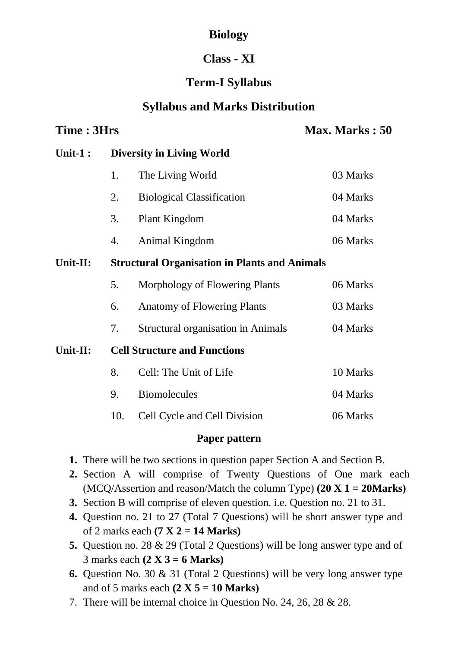# **Biology**

## **Class - XI**

# **Term-I Syllabus**

## **Syllabus and Marks Distribution**

## **Time : 3Hrs Max. Marks : 50**

## **Unit-1 : Diversity in Living World**

|    | The Living World                 | 03 Marks |
|----|----------------------------------|----------|
| 2. | <b>Biological Classification</b> | 04 Marks |
|    | 3. Plant Kingdom                 | 04 Marks |
| 4. | Animal Kingdom                   | 06 Marks |

**Unit-II: Structural Organisation in Plants and Animals**

|    | Morphology of Flowering Plants     | 06 Marks |
|----|------------------------------------|----------|
| 6. | <b>Anatomy of Flowering Plants</b> | 03 Marks |

7. Structural organisation in Animals 04 Marks

**Unit-II: Cell Structure and Functions**

| 8. Cell: The Unit of Life        | 10 Marks |
|----------------------------------|----------|
| 9. Biomolecules                  | 04 Marks |
| 10. Cell Cycle and Cell Division | 06 Marks |

### **Paper pattern**

- **1.** There will be two sections in question paper Section A and Section B.
- **2.** Section A will comprise of Twenty Questions of One mark each (MCQ/Assertion and reason/Match the column Type) **(20 X 1 = 20Marks)**
- **3.** Section B will comprise of eleven question. i.e. Question no. 21 to 31.
- **4.** Question no. 21 to 27 (Total 7 Questions) will be short answer type and of 2 marks each **(7 X 2 = 14 Marks)**
- **5.** Question no. 28 & 29 (Total 2 Questions) will be long answer type and of 3 marks each **(2 X 3 = 6 Marks)**
- **6.** Question No. 30 & 31 (Total 2 Questions) will be very long answer type and of 5 marks each **(2 X 5 = 10 Marks)**
- 7. There will be internal choice in Question No. 24, 26, 28 & 28.